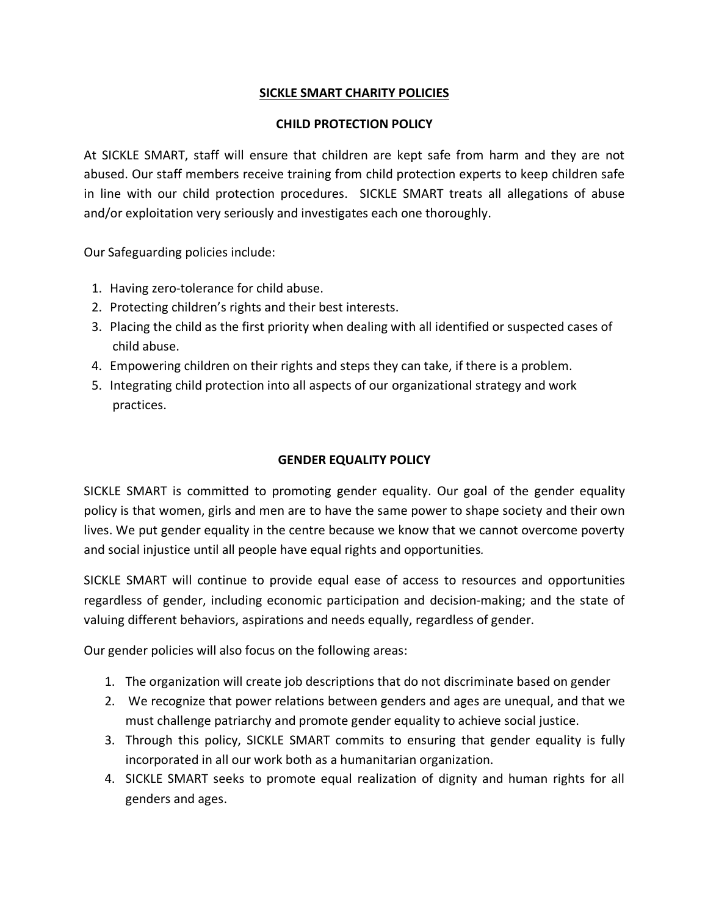# **SICKLE SMART CHARITY POLICIES**

# **CHILD PROTECTION POLICY**

At SICKLE SMART, staff will ensure that children are kept safe from harm and they are not abused. Our staff members receive training from child protection experts to keep children safe in line with our child protection procedures. SICKLE SMART treats all allegations of abuse and/or exploitation very seriously and investigates each one thoroughly.

Our Safeguarding policies include:

- 1. Having zero-tolerance for child abuse.
- 2. Protecting children's rights and their best interests.
- 3. Placing the child as the first priority when dealing with all identified or suspected cases of child abuse.
- 4. Empowering children on their rights and steps they can take, if there is a problem.
- 5. Integrating child protection into all aspects of our organizational strategy and work practices.

# **GENDER EQUALITY POLICY**

SICKLE SMART is committed to promoting gender equality. Our goal of the gender equality policy is that women, girls and men are to have the same power to shape society and their own lives. We put gender equality in the centre because we know that we cannot overcome poverty and social injustice until all people have equal rights and opportunities*.*

SICKLE SMART will continue to provide equal ease of access to resources and opportunities regardless of gender, including economic participation and decision-making; and the state of valuing different behaviors, aspirations and needs equally, regardless of gender.

Our gender policies will also focus on the following areas:

- 1. The organization will create job descriptions that do not discriminate based on gender
- 2. We recognize that power relations between genders and ages are unequal, and that we must challenge patriarchy and promote gender equality to achieve social justice.
- 3. Through this policy, SICKLE SMART commits to ensuring that gender equality is fully incorporated in all our work both as a humanitarian organization.
- 4. SICKLE SMART seeks to promote equal realization of dignity and human rights for all genders and ages.